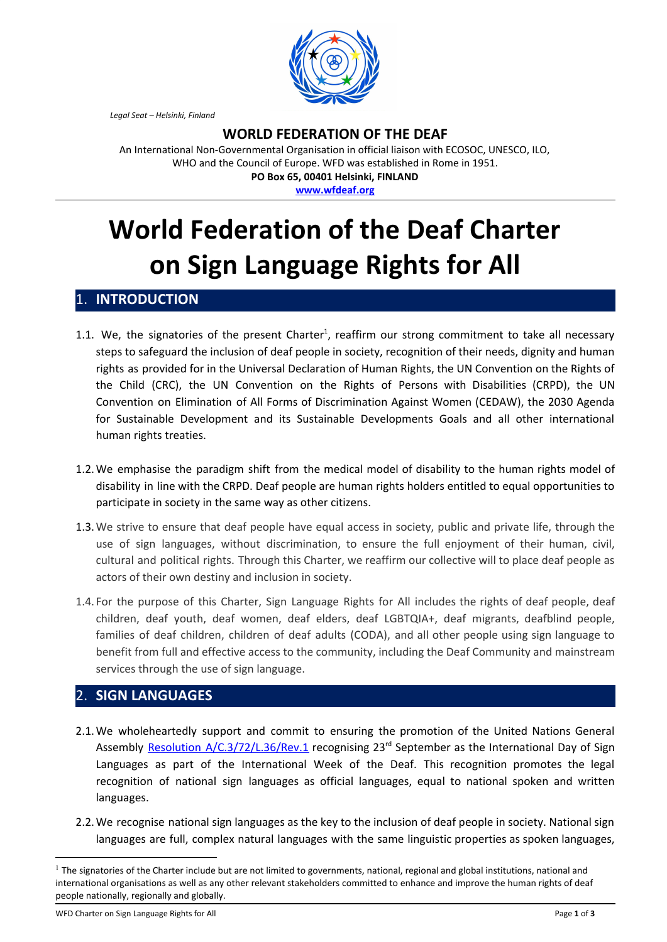

*Legal Seat – Helsinki, Finland*

## **WORLD FEDERATION OF THE DEAF**

An International Non-Governmental Organisation in official liaison with ECOSOC, UNESCO, ILO, WHO and the Council of Europe. WFD was established in Rome in 1951. **PO Box 65, 00401 Helsinki, FINLAND**

**[www.wfdeaf.org](http://www.wfdeaf.org/)**

# **World Federation of the Deaf Charter on Sign Language Rights for All**

#### 1. **INTRODUCTION**

- 1.1. We, the signatories of the present Charter<sup>1</sup>, reaffirm our strong commitment to take all necessary steps to safeguard the inclusion of deaf people in society, recognition of their needs, dignity and human rights as provided for in the Universal Declaration of Human Rights, the UN Convention on the Rights of the Child (CRC), the UN Convention on the Rights of Persons with Disabilities (CRPD), the UN Convention on Elimination of All Forms of Discrimination Against Women (CEDAW), the 2030 Agenda for Sustainable Development and its Sustainable Developments Goals and all other international human rights treaties.
- 1.2.We emphasise the paradigm shift from the medical model of disability to the human rights model of disability in line with the CRPD. Deaf people are human rights holders entitled to equal opportunities to participate in society in the same way as other citizens.
- 1.3.We strive to ensure that deaf people have equal access in society, public and private life, through the use of sign languages, without discrimination, to ensure the full enjoyment of their human, civil, cultural and political rights. Through this Charter, we reaffirm our collective will to place deaf people as actors of their own destiny and inclusion in society.
- 1.4. For the purpose of this Charter, Sign Language Rights for All includes the rights of deaf people, deaf children, deaf youth, deaf women, deaf elders, deaf LGBTQIA+, deaf migrants, deafblind people, families of deaf children, children of deaf adults (CODA), and all other people using sign language to benefit from full and effective access to the community, including the Deaf Community and mainstream services through the use of sign language.

#### 2. **SIGN LANGUAGES**

- 2.1.We wholeheartedly support and commit to ensuring the promotion of the United Nations General Assembly Resolution [A/C.3/72/L.36/Rev.1](https://undocs.org/A/C.3/72/L.36/Rev.1) recognising 23<sup>rd</sup> September as the International Day of Sign Languages as part of the International Week of the Deaf. This recognition promotes the legal recognition of national sign languages as official languages, equal to national spoken and written languages.
- 2.2.We recognise national sign languages as the key to the inclusion of deaf people in society. National sign languages are full, complex natural languages with the same linguistic properties as spoken languages,

WFD Charter on Sign Language Rights for All Page **1** of **3**

 $<sup>1</sup>$  The signatories of the Charter include but are not limited to governments, national, regional and global institutions, national and</sup> international organisations as well as any other relevant stakeholders committed to enhance and improve the human rights of deaf people nationally, regionally and globally.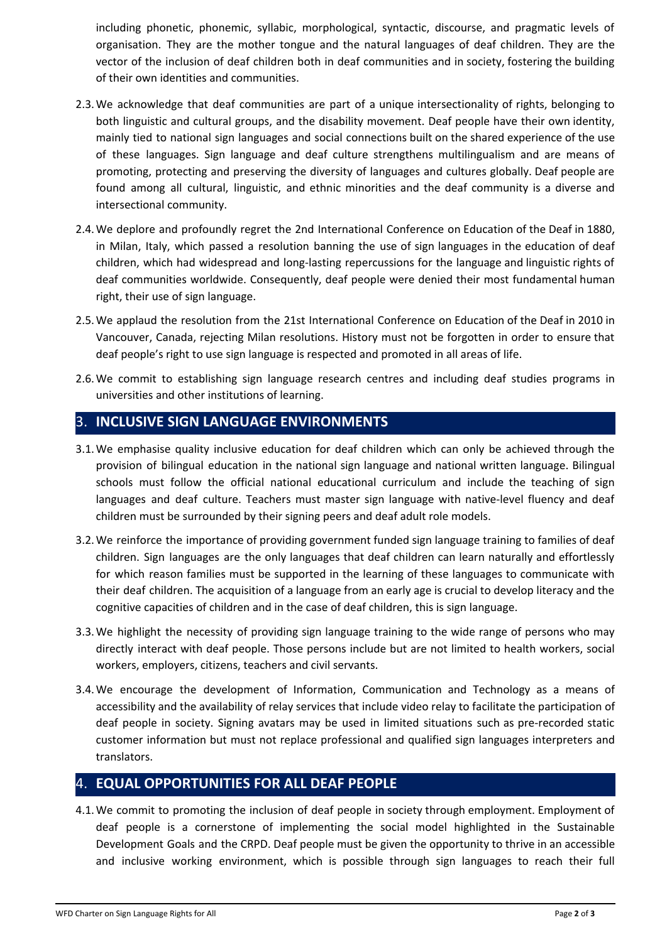including phonetic, phonemic, syllabic, morphological, syntactic, discourse, and pragmatic levels of organisation. They are the mother tongue and the natural languages of deaf children. They are the vector of the inclusion of deaf children both in deaf communities and in society, fostering the building of their own identities and communities.

- 2.3.We acknowledge that deaf communities are part of a unique intersectionality of rights, belonging to both linguistic and cultural groups, and the disability movement. Deaf people have their own identity, mainly tied to national sign languages and social connections built on the shared experience of the use of these languages. Sign language and deaf culture strengthens multilingualism and are means of promoting, protecting and preserving the diversity of languages and cultures globally. Deaf people are found among all cultural, linguistic, and ethnic minorities and the deaf community is a diverse and intersectional community.
- 2.4.We deplore and profoundly regret the 2nd International Conference on Education of the Deaf in 1880, in Milan, Italy, which passed a resolution banning the use of sign languages in the education of deaf children, which had widespread and long-lasting repercussions for the language and linguistic rights of deaf communities worldwide. Consequently, deaf people were denied their most fundamental human right, their use of sign language.
- 2.5.We applaud the resolution from the 21st International Conference on Education of the Deaf in 2010 in Vancouver, Canada, rejecting Milan resolutions. History must not be forgotten in order to ensure that deaf people's right to use sign language is respected and promoted in all areas of life.
- 2.6.We commit to establishing sign language research centres and including deaf studies programs in universities and other institutions of learning.

# 3. **INCLUSIVE SIGN LANGUAGE ENVIRONMENTS**

- 3.1.We emphasise quality inclusive education for deaf children which can only be achieved through the provision of bilingual education in the national sign language and national written language. Bilingual schools must follow the official national educational curriculum and include the teaching of sign languages and deaf culture. Teachers must master sign language with native-level fluency and deaf children must be surrounded by their signing peers and deaf adult role models.
- 3.2.We reinforce the importance of providing government funded sign language training to families of deaf children. Sign languages are the only languages that deaf children can learn naturally and effortlessly for which reason families must be supported in the learning of these languages to communicate with their deaf children. The acquisition of a language from an early age is crucial to develop literacy and the cognitive capacities of children and in the case of deaf children, this is sign language.
- 3.3.We highlight the necessity of providing sign language training to the wide range of persons who may directly interact with deaf people. Those persons include but are not limited to health workers, social workers, employers, citizens, teachers and civil servants.
- 3.4.We encourage the development of Information, Communication and Technology as a means of accessibility and the availability of relay services that include video relay to facilitate the participation of deaf people in society. Signing avatars may be used in limited situations such as pre-recorded static customer information but must not replace professional and qualified sign languages interpreters and translators.

# 4. **EQUAL OPPORTUNITIES FOR ALL DEAF PEOPLE**

4.1.We commit to promoting the inclusion of deaf people in society through employment. Employment of deaf people is a cornerstone of implementing the social model highlighted in the Sustainable Development Goals and the CRPD. Deaf people must be given the opportunity to thrive in an accessible and inclusive working environment, which is possible through sign languages to reach their full